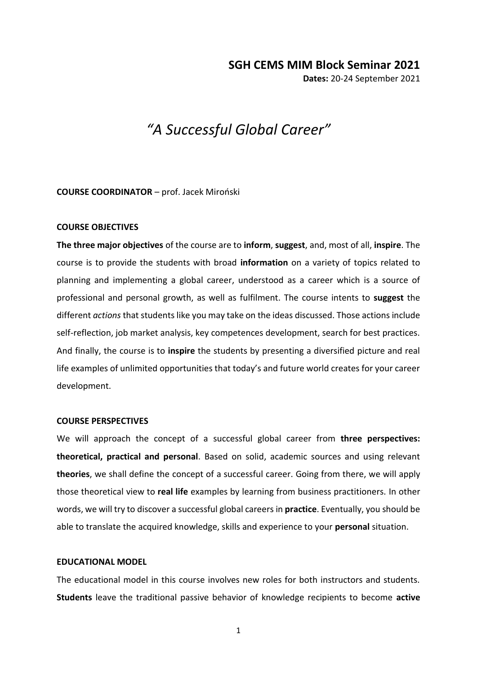# **SGH CEMS MIM Block Seminar 2021**

**Dates:** 20-24 September 2021

# *"A Successful Global Career"*

#### **COURSE COORDINATOR** – prof. Jacek Miroński

#### **COURSE OBJECTIVES**

**The three major objectives** of the course are to **inform**, **suggest**, and, most of all, **inspire**. The course is to provide the students with broad **information** on a variety of topics related to planning and implementing a global career, understood as a career which is a source of professional and personal growth, as well as fulfilment. The course intents to **suggest** the different *actions* that students like you may take on the ideas discussed. Those actions include self-reflection, job market analysis, key competences development, search for best practices. And finally, the course is to **inspire** the students by presenting a diversified picture and real life examples of unlimited opportunities that today's and future world creates for your career development.

## **COURSE PERSPECTIVES**

We will approach the concept of a successful global career from **three perspectives: theoretical, practical and personal**. Based on solid, academic sources and using relevant **theories**, we shall define the concept of a successful career. Going from there, we will apply those theoretical view to **real life** examples by learning from business practitioners. In other words, we will try to discover a successful global careers in **practice**. Eventually, you should be able to translate the acquired knowledge, skills and experience to your **personal** situation.

## **EDUCATIONAL MODEL**

The educational model in this course involves new roles for both instructors and students. **Students** leave the traditional passive behavior of knowledge recipients to become **active** 

1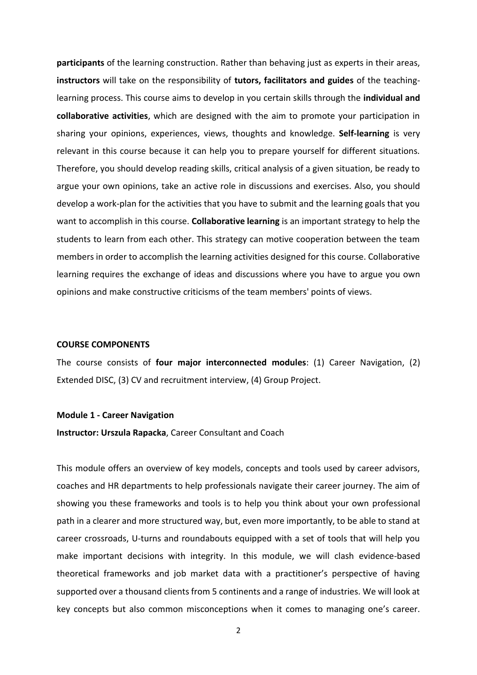**participants** of the learning construction. Rather than behaving just as experts in their areas, **instructors** will take on the responsibility of **tutors, facilitators and guides** of the teachinglearning process. This course aims to develop in you certain skills through the **individual and collaborative activities**, which are designed with the aim to promote your participation in sharing your opinions, experiences, views, thoughts and knowledge. **Self-learning** is very relevant in this course because it can help you to prepare yourself for different situations. Therefore, you should develop reading skills, critical analysis of a given situation, be ready to argue your own opinions, take an active role in discussions and exercises. Also, you should develop a work-plan for the activities that you have to submit and the learning goals that you want to accomplish in this course. **Collaborative learning** is an important strategy to help the students to learn from each other. This strategy can motive cooperation between the team members in order to accomplish the learning activities designed for this course. Collaborative learning requires the exchange of ideas and discussions where you have to argue you own opinions and make constructive criticisms of the team members' points of views.

#### **COURSE COMPONENTS**

The course consists of **four major interconnected modules**: (1) Career Navigation, (2) Extended DISC, (3) CV and recruitment interview, (4) Group Project.

#### **Module 1 - Career Navigation**

**Instructor: Urszula Rapacka**, Career Consultant and Coach

This module offers an overview of key models, concepts and tools used by career advisors, coaches and HR departments to help professionals navigate their career journey. The aim of showing you these frameworks and tools is to help you think about your own professional path in a clearer and more structured way, but, even more importantly, to be able to stand at career crossroads, U-turns and roundabouts equipped with a set of tools that will help you make important decisions with integrity. In this module, we will clash evidence-based theoretical frameworks and job market data with a practitioner's perspective of having supported over a thousand clients from 5 continents and a range of industries. We will look at key concepts but also common misconceptions when it comes to managing one's career.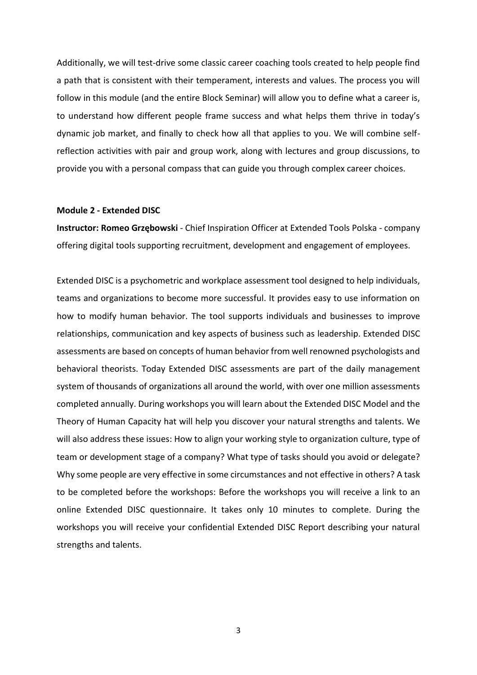Additionally, we will test-drive some classic career coaching tools created to help people find a path that is consistent with their temperament, interests and values. The process you will follow in this module (and the entire Block Seminar) will allow you to define what a career is, to understand how different people frame success and what helps them thrive in today's dynamic job market, and finally to check how all that applies to you. We will combine selfreflection activities with pair and group work, along with lectures and group discussions, to provide you with a personal compass that can guide you through complex career choices.

## **Module 2 - Extended DISC**

**Instructor: Romeo Grzębowski** - Chief Inspiration Officer at [Extended Tools Polska](https://extendeddisc.com.pl/) - company offering digital tools supporting recruitment, development and engagement of employees.

Extended DISC is a psychometric and workplace assessment tool designed to help individuals, teams and organizations to become more successful. It provides easy to use information on how to modify human behavior. The tool supports individuals and businesses to improve relationships, communication and key aspects of business such as leadership. Extended DISC assessments are based on concepts of human behavior from well renowned psychologists and behavioral theorists. Today Extended DISC assessments are part of the daily management system of thousands of organizations all around the world, with over one million assessments completed annually. During workshops you will learn about the Extended DISC Model and the Theory of Human Capacity hat will help you discover your natural strengths and talents. We will also address these issues: How to align your working style to organization culture, type of team or development stage of a company? What type of tasks should you avoid or delegate? Why some people are very effective in some circumstances and not effective in others? A task to be completed before the workshops: Before the workshops you will receive a link to an online Extended DISC questionnaire. It takes only 10 minutes to complete. During the workshops you will receive your confidential Extended DISC Report describing your natural strengths and talents.

3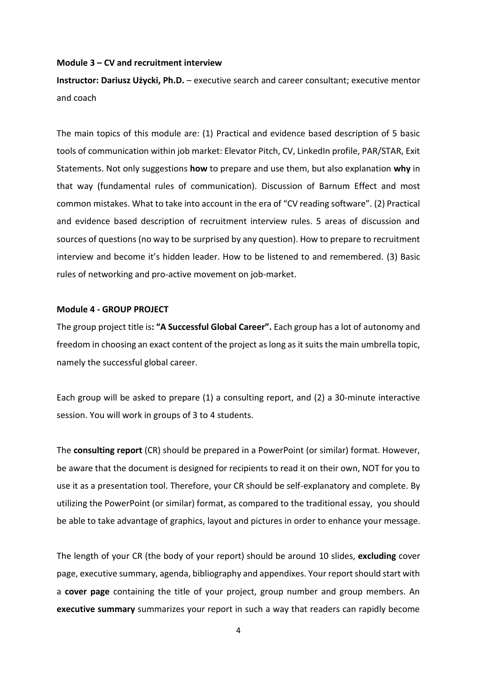#### **Module 3 – CV and recruitment interview**

**Instructor: Dariusz Użycki, Ph.D.** – executive search and career consultant; executive mentor and coach

The main topics of this module are: (1) Practical and evidence based description of 5 basic tools of communication within job market: Elevator Pitch, CV, LinkedIn profile, PAR/STAR, Exit Statements. Not only suggestions **how** to prepare and use them, but also explanation **why** in that way (fundamental rules of communication). Discussion of Barnum Effect and most common mistakes. What to take into account in the era of "CV reading software". (2) Practical and evidence based description of recruitment interview rules. 5 areas of discussion and sources of questions (no way to be surprised by any question). How to prepare to recruitment interview and become it's hidden leader. How to be listened to and remembered. (3) Basic rules of networking and pro-active movement on job-market.

## **Module 4 - GROUP PROJECT**

The group project title is**: "A Successful Global Career".** Each group has a lot of autonomy and freedom in choosing an exact content of the project as long as it suits the main umbrella topic, namely the successful global career.

Each group will be asked to prepare (1) a consulting report, and (2) a 30-minute interactive session. You will work in groups of 3 to 4 students.

The **consulting report** (CR) should be prepared in a PowerPoint (or similar) format. However, be aware that the document is designed for recipients to read it on their own, NOT for you to use it as a presentation tool. Therefore, your CR should be self-explanatory and complete. By utilizing the PowerPoint (or similar) format, as compared to the traditional essay, you should be able to take advantage of graphics, layout and pictures in order to enhance your message.

The length of your CR (the body of your report) should be around 10 slides, **excluding** cover page, executive summary, agenda, bibliography and appendixes. Your report should start with a **cover page** containing the title of your project, group number and group members. An **executive summary** summarizes your report in such a way that readers can rapidly become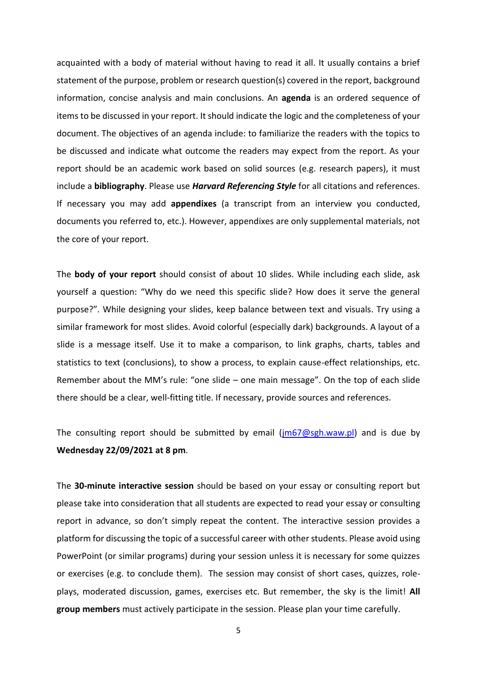acquainted with a body of material without having to read it all. It usually contains a brief statement of the purpose, problem or research question(s) covered in the report, background information, concise analysis and main conclusions. An **agenda** is an ordered sequence of items to be discussed in your report. It should indicate the logic and the completeness of your document. The objectives of an agenda include: to familiarize the readers with the topics to be discussed and indicate what outcome the readers may expect from the report. As your report should be an academic work based on solid sources (e.g. research papers), it must include a **bibliography**. Please use *Harvard Referencing Style* for all citations and references. If necessary you may add **appendixes** (a transcript from an interview you conducted, documents you referred to, etc.). However, appendixes are only supplemental materials, not the core of your report.

The **body of your report** should consist of about 10 slides. While including each slide, ask yourself a question: "Why do we need this specific slide? How does it serve the general purpose?". While designing your slides, keep balance between text and visuals. Try using a similar framework for most slides. Avoid colorful (especially dark) backgrounds. A layout of a slide is a message itself. Use it to make a comparison, to link graphs, charts, tables and statistics to text (conclusions), to show a process, to explain cause-effect relationships, etc. Remember about the MM's rule: "one slide – one main message". On the top of each slide there should be a clear, well-fitting title. If necessary, provide sources and references.

The consulting report should be submitted by email  $(im67@sgh.waw.pl)$  and is due by **Wednesday 22/09/2021 at 8 pm**.

The **30-minute interactive session** should be based on your essay or consulting report but please take into consideration that all students are expected to read your essay or consulting report in advance, so don't simply repeat the content. The interactive session provides a platform for discussing the topic of a successful career with other students. Please avoid using PowerPoint (or similar programs) during your session unless it is necessary for some quizzes or exercises (e.g. to conclude them). The session may consist of short cases, quizzes, roleplays, moderated discussion, games, exercises etc. But remember, the sky is the limit! **All group members** must actively participate in the session. Please plan your time carefully.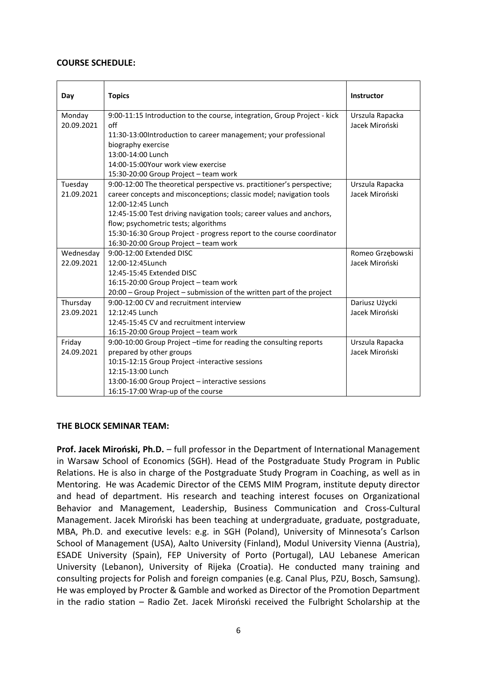## **COURSE SCHEDULE:**

| Day        | <b>Topics</b>                                                            | <b>Instructor</b> |
|------------|--------------------------------------------------------------------------|-------------------|
| Monday     | 9:00-11:15 Introduction to the course, integration, Group Project - kick | Urszula Rapacka   |
| 20.09.2021 | $\int$                                                                   | Jacek Miroński    |
|            | 11:30-13:00Introduction to career management; your professional          |                   |
|            | biography exercise                                                       |                   |
|            | 13:00-14:00 Lunch                                                        |                   |
|            | 14:00-15:00Your work view exercise                                       |                   |
|            | 15:30-20:00 Group Project - team work                                    |                   |
| Tuesday    | 9:00-12:00 The theoretical perspective vs. practitioner's perspective;   | Urszula Rapacka   |
| 21.09.2021 | career concepts and misconceptions; classic model; navigation tools      | Jacek Miroński    |
|            | 12:00-12:45 Lunch                                                        |                   |
|            | 12:45-15:00 Test driving navigation tools; career values and anchors,    |                   |
|            | flow; psychometric tests; algorithms                                     |                   |
|            | 15:30-16:30 Group Project - progress report to the course coordinator    |                   |
|            | 16:30-20:00 Group Project - team work                                    |                   |
| Wednesday  | 9:00-12:00 Extended DISC                                                 | Romeo Grzębowski  |
| 22.09.2021 | 12:00-12:45 Lunch                                                        | Jacek Miroński    |
|            | 12:45-15:45 Extended DISC                                                |                   |
|            | 16:15-20:00 Group Project - team work                                    |                   |
|            | 20:00 - Group Project - submission of the written part of the project    |                   |
| Thursday   | 9:00-12:00 CV and recruitment interview                                  | Dariusz Użycki    |
| 23.09.2021 | 12:12:45 Lunch                                                           | Jacek Miroński    |
|            | 12:45-15:45 CV and recruitment interview                                 |                   |
|            | 16:15-20:00 Group Project - team work                                    |                   |
| Friday     | 9:00-10:00 Group Project -time for reading the consulting reports        | Urszula Rapacka   |
| 24.09.2021 | prepared by other groups                                                 | Jacek Miroński    |
|            | 10:15-12:15 Group Project -interactive sessions                          |                   |
|            | 12:15-13:00 Lunch                                                        |                   |
|            | 13:00-16:00 Group Project - interactive sessions                         |                   |
|            | 16:15-17:00 Wrap-up of the course                                        |                   |

## **THE BLOCK SEMINAR TEAM:**

**Prof. Jacek Miroński, Ph.D.** – full professor in the Department of International Management in Warsaw School of Economics (SGH). Head of the Postgraduate Study Program in Public Relations. He is also in charge of the Postgraduate Study Program in Coaching, as well as in Mentoring. He was Academic Director of the CEMS MIM Program, institute deputy director and head of department. His research and teaching interest focuses on Organizational Behavior and Management, Leadership, Business Communication and Cross-Cultural Management. Jacek Miroński has been teaching at undergraduate, graduate, postgraduate, MBA, Ph.D. and executive levels: e.g. in SGH (Poland), University of Minnesota's Carlson School of Management (USA), Aalto University (Finland), Modul University Vienna (Austria), ESADE University (Spain), FEP University of Porto (Portugal), LAU Lebanese American University (Lebanon), University of Rijeka (Croatia). He conducted many training and consulting projects for Polish and foreign companies (e.g. Canal Plus, PZU, Bosch, Samsung). He was employed by Procter & Gamble and worked as Director of the Promotion Department in the radio station – Radio Zet. Jacek Miroński received the Fulbright Scholarship at the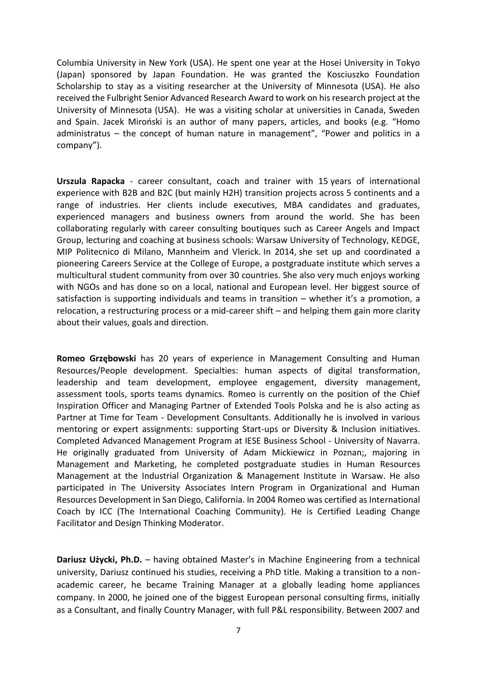Columbia University in New York (USA). He spent one year at the Hosei University in Tokyo (Japan) sponsored by Japan Foundation. He was granted the Kosciuszko Foundation Scholarship to stay as a visiting researcher at the University of Minnesota (USA). He also received the Fulbright Senior Advanced Research Award to work on his research project at the University of Minnesota (USA). He was a visiting scholar at universities in Canada, Sweden and Spain. Jacek Miroński is an author of many papers, articles, and books (e.g. "Homo administratus – the concept of human nature in management", "Power and politics in a company").

**Urszula Rapacka** - career consultant, coach and trainer with 15 years of international experience with B2B and B2C (but mainly H2H) transition projects across 5 continents and a range of industries. Her clients include executives, MBA candidates and graduates, experienced managers and business owners from around the world. She has been collaborating regularly with career consulting boutiques such as Career Angels and Impact Group, lecturing and coaching at business schools: Warsaw University of Technology, KEDGE, MIP Politecnico di Milano, Mannheim and Vlerick. In 2014, she set up and coordinated a pioneering Careers Service at the College of Europe, a postgraduate institute which serves a multicultural student community from over 30 countries. She also very much enjoys working with NGOs and has done so on a local, national and European level. Her biggest source of satisfaction is supporting individuals and teams in transition – whether it's a promotion, a relocation, a restructuring process or a mid-career shift – and helping them gain more clarity about their values, goals and direction.

**Romeo Grzębowski** has 20 years of experience in Management Consulting and Human Resources/People development. Specialties: human aspects of digital transformation, leadership and team development, employee engagement, diversity management, assessment tools, sports teams dynamics. Romeo is currently on the position of the Chief Inspiration Officer and Managing Partner of Extended Tools Polska and he is also acting as Partner at Time for Team - Development Consultants. Additionally he is involved in various mentoring or expert assignments: supporting Start-ups or Diversity & Inclusion initiatives. Completed Advanced Management Program at IESE Business School - University of Navarra. He originally graduated from University of Adam Mickiewicz in Poznan;, majoring in Management and Marketing, he completed postgraduate studies in Human Resources Management at the Industrial Organization & Management Institute in Warsaw. He also participated in The University Associates Intern Program in Organizational and Human Resources Development in San Diego, California. In 2004 Romeo was certified as International Coach by ICC (The International Coaching Community). He is Certified Leading Change Facilitator and Design Thinking Moderator.

**Dariusz Użycki, Ph.D.** – having obtained Master's in Machine Engineering from a technical university, Dariusz continued his studies, receiving a PhD title. Making a transition to a nonacademic career, he became Training Manager at a globally leading home appliances company. In 2000, he joined one of the biggest European personal consulting firms, initially as a Consultant, and finally Country Manager, with full P&L responsibility. Between 2007 and